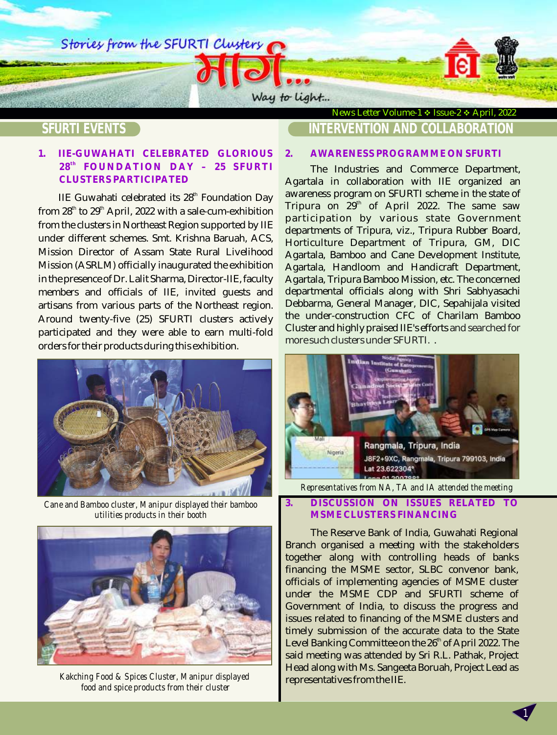Stories from the SFURTI Clusters

# **SFURTI EVENTS**

## **1. IIE-GUWAHATI CELEBRATED GLORIOUS th 28 FOUNDATION DAY – 25 SFURTI CLUSTERS PARTICIPATED**

IIE Guwahati celebrated its  $28<sup>th</sup>$  Foundation Day from  $28<sup>th</sup>$  to  $29<sup>th</sup>$  April, 2022 with a sale-cum-exhibition from the clusters in Northeast Region supported by IIE under different schemes. Smt. Krishna Baruah, ACS, Mission Director of Assam State Rural Livelihood Mission (ASRLM) officially inaugurated the exhibition in the presence of Dr. Lalit Sharma, Director-IIE, faculty members and officials of IIE, invited guests and artisans from various parts of the Northeast region. Around twenty-five (25) SFURTI clusters actively participated and they were able to earn multi-fold orders for their products during this exhibition.



*Cane and Bamboo cluster, Manipur displayed their bamboo utilities products in their booth* 



*Kakching Food & Spices Cluster, Manipur displayed food and spice products from their cluster* 

## News Letter Volume-1 ❖ Issue-2 ❖ April, 2022 **INTERVENTION AND COLLABORATION**

#### **2. AWARENESS PROGRAMME ON SFURTI**

Way to light...

The Industries and Commerce Department, Agartala in collaboration with IIE organized an awareness program on SFURTI scheme in the state of Tripura on 29 $^{\rm th}$  of April 2022. The same saw participation by various state Government departments of Tripura, viz., Tripura Rubber Board, Horticulture Department of Tripura, GM, DIC Agartala, Bamboo and Cane Development Institute, Agartala, Handloom and Handicraft Department, Agartala, Tripura Bamboo Mission, etc. The concerned departmental officials along with Shri Sabhyasachi Debbarma, General Manager, DIC, Sepahijala visited the under-construction CFC of Charilam Bamboo Cluster and highly praised IIE's efforts and searched for . more such clusters under SFURTI.



*Representatives from NA, TA and IA attended the meeting* 

### **3. DISCUSSION ON ISSUES RELATED TO MSME CLUSTERS FINANCING**

The Reserve Bank of India, Guwahati Regional Branch organised a meeting with the stakeholders together along with controlling heads of banks financing the MSME sector, SLBC convenor bank, officials of implementing agencies of MSME cluster under the MSME CDP and SFURTI scheme of Government of India, to discuss the progress and issues related to financing of the MSME clusters and timely submission of the accurate data to the State Level Banking Committee on the  $26<sup>th</sup>$  of April 2022. The said meeting was attended by Sri R.L. Pathak, Project Head along with Ms. Sangeeta Boruah, Project Lead as representatives from the IIE.

1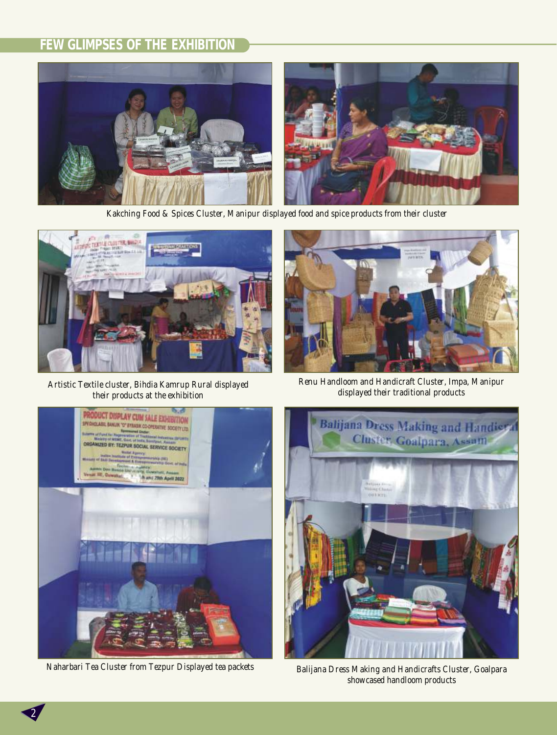# **FEW GLIMPSES OF THE EXHIBITION**



*Kakching Food & Spices Cluster, Manipur displayed food and spice products from their cluster* 



*Artistic Textile cluster, Bihdia Kamrup Rural displayed their products at the exhibition* 



*Renu Handloom and Handicraft Cluster, Impa, Manipur displayed their traditional products* 





*Naharbari Tea Cluster from Tezpur Displayed tea packets Balijana Dress Making and Handicrafts Cluster, Goalpara showcased handloom products* 

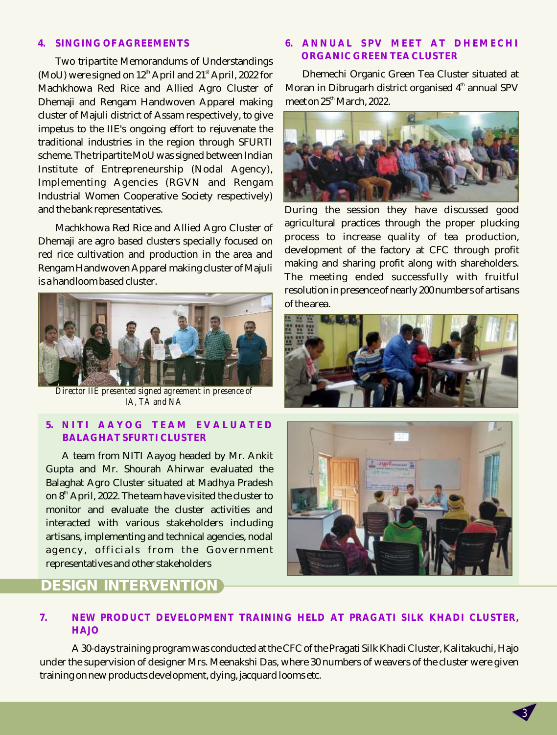#### **4. SINGING OF AGREEMENTS**

Two tripartite Memorandums of Understandings (MoU) were signed on  $12<sup>th</sup>$  April and  $21<sup>st</sup>$  April, 2022 for Machkhowa Red Rice and Allied Agro Cluster of Dhemaji and Rengam Handwoven Apparel making cluster of Majuli district of Assam respectively, to give impetus to the IIE's ongoing effort to rejuvenate the traditional industries in the region through SFURTI scheme. The tripartite MoU was signed between Indian Institute of Entrepreneurship (Nodal Agency), Implementing Agencies (RGVN and Rengam Industrial Women Cooperative Society respectively) and the bank representatives.

Machkhowa Red Rice and Allied Agro Cluster of Dhemaji are agro based clusters specially focused on red rice cultivation and production in the area and Rengam Handwoven Apparel making cluster of Majuli is a handloom based cluster.



*Director IIE presented signed agreement in presence of IA, TA and NA*

### **5. N I T I A A Y O G T E A M E V A L U A T E D BALAGHAT SFURTI CLUSTER**

A team from NITI Aayog headed by Mr. Ankit Gupta and Mr. Shourah Ahirwar evaluated the Balaghat Agro Cluster situated at Madhya Pradesh on 8<sup>th</sup> April, 2022. The team have visited the cluster to monitor and evaluate the cluster activities and interacted with various stakeholders including artisans, implementing and technical agencies, nodal agency, officials from the Government representatives and other stakeholders

# **DESIGN INTERVENTION**

## **6. ANNUAL SPV MEET AT DHEMECHI ORGANIC GREEN TEA CLUSTER**

Dhemechi Organic Green Tea Cluster situated at Moran in Dibrugarh district organised  $4<sup>th</sup>$  annual SPV meet on 25<sup>th</sup> March, 2022.



During the session they have discussed good agricultural practices through the proper plucking process to increase quality of tea production, development of the factory at CFC through profit making and sharing profit along with shareholders. The meeting ended successfully with fruitful resolution in presence of nearly 200 numbers of artisans of the area.





3

## **7. NEW PRODUCT DEVELOPMENT TRAINING HELD AT PRAGATI SILK KHADI CLUSTER, HAJO**

A 30-days training program was conducted at the CFC of the Pragati Silk Khadi Cluster, Kalitakuchi, Hajo under the supervision of designer Mrs. Meenakshi Das, where 30 numbers of weavers of the cluster were given training on new products development, dying, jacquard looms etc.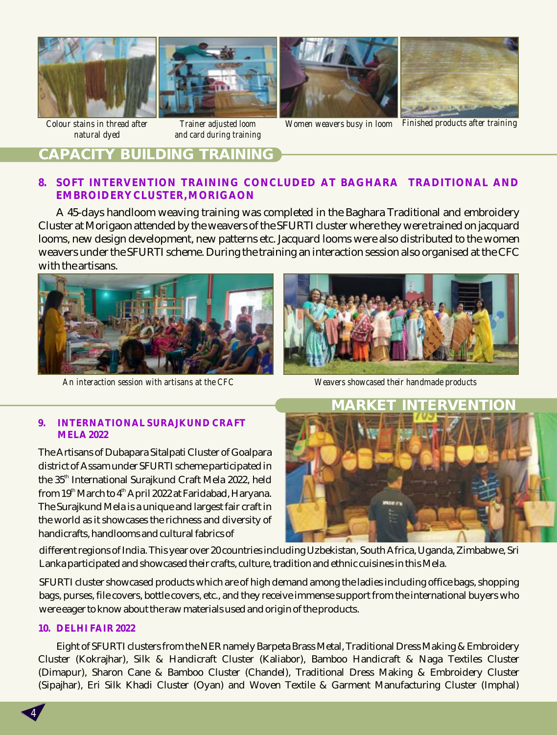

*natural dyed* 



*Trainer adjusted loom and card during training*





*Women weavers busy in loom Finished products after training*

# **CAPACITY BUILDING TRAINING**

## **8. SOFT INTERVENTION TRAINING CONCLUDED AT BAGHARA TRADITIONAL AND EMBROIDERY CLUSTER, MORIGAON**

A 45-days handloom weaving training was completed in the Baghara Traditional and embroidery Cluster at Morigaon attended by the weavers of the SFURTI cluster where they were trained on jacquard looms, new design development, new patterns etc. Jacquard looms were also distributed to the women weavers under the SFURTI scheme. During the training an interaction session also organised at the CFC with the artisans.



*An interaction session with artisans at the CFC Weavers showcased their handmade products* 



#### **9. INTERNATIONAL SURAJKUND CRAFT MELA 2022**

The Artisans of Dubapara Sitalpati Cluster of Goalpara district of Assam under SFURTI scheme participated in the 35<sup>th</sup> International Surajkund Craft Mela 2022, held from 19<sup>th</sup> March to 4<sup>th</sup> April 2022 at Faridabad, Haryana. The Surajkund Mela is a unique and largest fair craft in the world as it showcases the richness and diversity of handicrafts, handlooms and cultural fabrics of



different regions of India. This year over 20 countries including Uzbekistan, South Africa, Uganda, Zimbabwe, Sri Lanka participated and showcased their crafts, culture, tradition and ethnic cuisines in this Mela.

SFURTI cluster showcased products which are of high demand among the ladies including office bags, shopping bags, purses, file covers, bottle covers, etc., and they receive immense support from the international buyers who were eager to know about the raw materials used and origin of the products.

#### **10. DELHI FAIR 2022**

4

Eight of SFURTI clusters from the NER namely Barpeta Brass Metal, Traditional Dress Making & Embroidery Cluster (Kokrajhar), Silk & Handicraft Cluster (Kaliabor), Bamboo Handicraft & Naga Textiles Cluster (Dimapur), Sharon Cane & Bamboo Cluster (Chandel), Traditional Dress Making & Embroidery Cluster (Sipajhar), Eri Silk Khadi Cluster (Oyan) and Woven Textile & Garment Manufacturing Cluster (Imphal)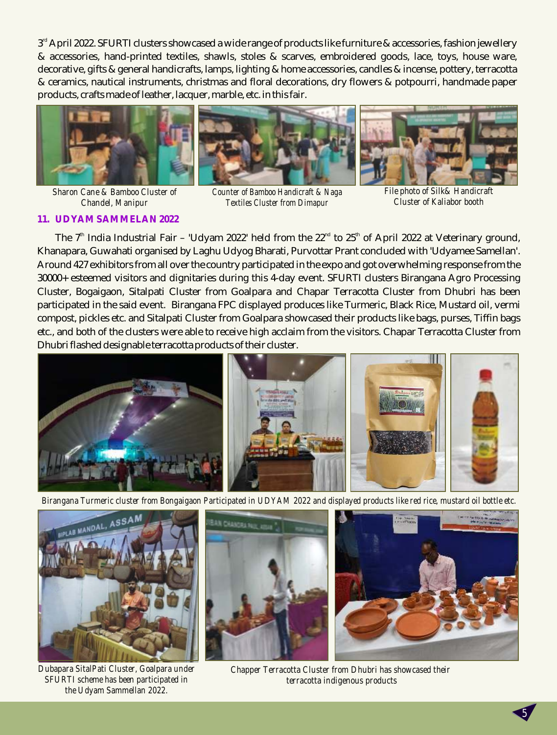$3<sup>rd</sup>$  April 2022. SFURTI clusters showcased a wide range of products like furniture & accessories, fashion jewellery & accessories, hand-printed textiles, shawls, stoles & scarves, embroidered goods, lace, toys, house ware, decorative, gifts & general handicrafts, lamps, lighting & home accessories, candles & incense, pottery, terracotta & ceramics, nautical instruments, christmas and floral decorations, dry flowers & potpourri, handmade paper products, crafts made of leather, lacquer, marble, etc. in this fair.







*Sharon Cane & Bamboo Cluster of Chandel, Manipur* 

*Counter of Bamboo Handicraft & Naga Textiles Cluster from Dimapur*

*File photo of Silk& Handicraft Cluster of Kaliabor booth* 

#### **11. UDYAM SAMMELAN 2022**

The 7 $\rm ^{in}$  India Industrial Fair – 'Udyam 2022' held from the 22 $\rm ^{nd}$  to 25 $\rm ^{th}$  of April 2022 at Veterinary ground, Khanapara, Guwahati organised by Laghu Udyog Bharati, Purvottar Prant concluded with 'Udyamee Samellan'. Around 427 exhibitors from all over the country participated in the expo and got overwhelming response from the 30000+ esteemed visitors and dignitaries during this 4-day event. SFURTI clusters Birangana Agro Processing Cluster, Bogaigaon, Sitalpati Cluster from Goalpara and Chapar Terracotta Cluster from Dhubri has been participated in the said event. Birangana FPC displayed produces like Turmeric, Black Rice, Mustard oil, vermi compost, pickles etc. and Sitalpati Cluster from Goalpara showcased their products like bags, purses, Tiffin bags etc., and both of the clusters were able to receive high acclaim from the visitors. Chapar Terracotta Cluster from Dhubri flashed designable terracotta products of their cluster.



*Birangana Turmeric cluster from Bongaigaon Participated in UDYAM 2022 and displayed products like red rice, mustard oil bottle etc.* 



*Dubapara SitalPati Cluster, Goalpara under SFURTI scheme has been participated in the Udyam Sammellan 2022.*



*Chapper Terracotta Cluster from Dhubri has showcased their terracotta indigenous products*

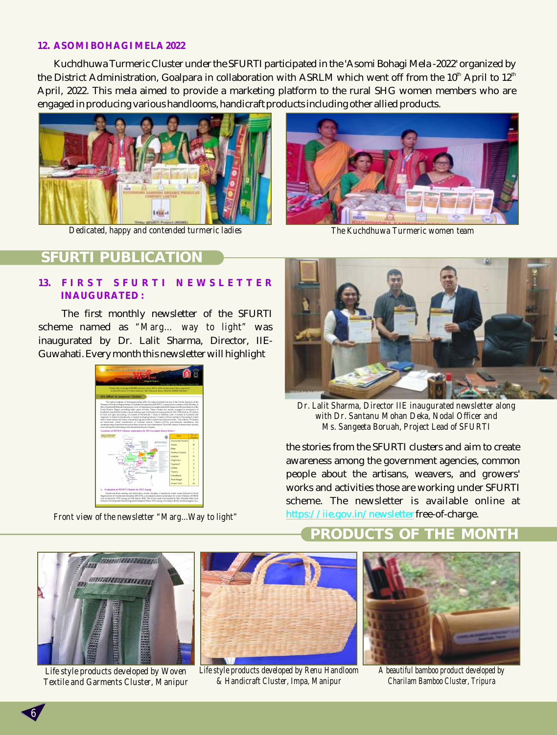#### **12. ASOMI BOHAGI MELA 2022**

Kuchdhuwa Turmeric Cluster under the SFURTI participated in the 'Asomi Bohagi Mela -2022' organized by the District Administration, Goalpara in collaboration with ASRLM which went off from the 10<sup>th</sup> April to 12<sup>th</sup> April, 2022. This mela aimed to provide a marketing platform to the rural SHG women members who are engaged in producing various handlooms, handicraft products including other allied products.



*Dedicated, happy and contended turmeric ladies The Kuchdhuwa Turmeric women team* 



## **PUBLICA**

#### **13. F I R S T S F U R T I N E W S L E T T E R INAUGURATED :**

The first monthly newsletter of the SFURTI scheme named as *"Marg… way to light"* was inaugurated by Dr. Lalit Sharma, Director, IIE-Guwahati. Every month this newsletter will highlight



*Front view of the newsletter "Marg...Way to light"*



*Dr. Lalit Sharma, Director IIE inaugurated newsletter along with Dr. Santanu Mohan Deka, Nodal Officer and Ms. Sangeeta Boruah, Project Lead of SFURTI*

the stories from the SFURTI clusters and aim to create awareness among the government agencies, common people about the artisans, weavers, and growers' works and activities those are working under SFURTI scheme. The newsletter is available online at https://iie.gov.in/newsletterfree-of-charge.



*Life style products developed by Woven Textile and Garments Cluster, Manipur*

6



*Life style products developed by Renu Handloom & Handicraft Cluster, Impa, Manipur*

# **PRODUCTS OF THE MONTH**



*A beautiful bamboo product developed by Charilam Bamboo Cluster, Tripura*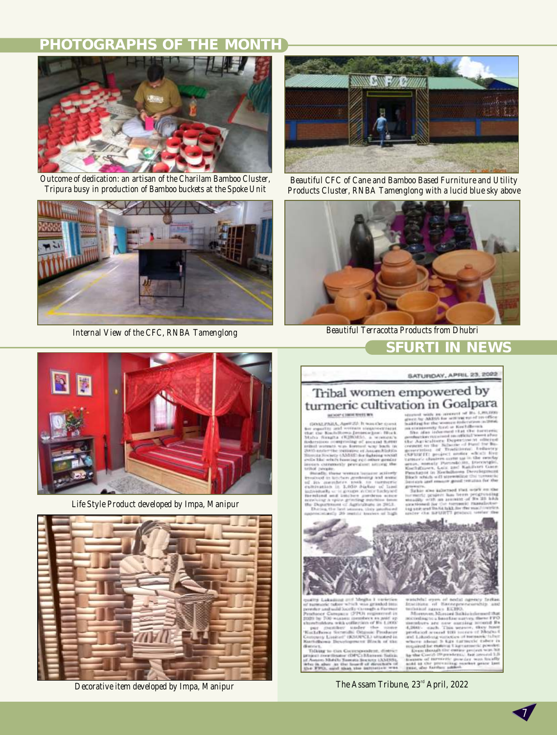# **PHOTOGRAPHS OF THE MONTH**



*Outcome of dedication: an artisan of the Charilam Bamboo Cluster, Tripura busy in production of Bamboo buckets at the Spoke Unit*



*Internal View of the CFC, RNBA Tamenglong*



*Life Style Product developed by Impa, Manipur*



*Decorative item developed by Impa, Manipur*



*Beautiful CFC of Cane and Bamboo Based Furniture and Utility Products Cluster, RNBA Tamenglong with a lucid blue sky above*



*Beautiful Terracotta Products from Dhubri*  **SFURTI IN NEWS**

SATURDAY, APRIL 23, 2022

# Tribal women empowered by turmeric cultivation in Goalpara

може свитания

.<br>PABA, April 22. It was the s tro and verrant sometrocritario<br>Kachdhowa Janusca (jam) Hitch<br>Kagha (H2HMS), a version's  $\alpha$  (K2HM5), a searcer, a search state of an<br>experiment scale book in the search of the search of the search of<br>the search of the search of the search of the search of<br>the search of the search of the search of the search

3,050 dialist

 $[1001\ 111\ 100241] \text{PdL} \label{eq:2}$  space by AMSs for selection with the LSM and<br>space by AMSs for selection with the construction of the selection of<br>a model with the selection of the selection in the selection of the<br>se

Sakin also adocteed that work te penderit han been pengrun<br>U with an assimint of Ne 15<br>U with an assembly ransals to his buick. I  $(1 - 1.211)$ 



gha i meri<br>is grisshid<br>magh a fis abid in did Societis or OVPON as owd in aams someteex as past op<br>eith cofficesion of Fix 1,000<br>her: | studer | the | nome

Moler the non<br>di Ottawe Probe

rils Samuel Society (AMSS),<br>At the lowell of directors of<br>aid that the intitation was

 $\label{eq:optimal}$  which<br>the symplectic condition of the sympeter sympeter of the sympeter sympeter<br> $\mathcal{S}$  and the sympeter sympeter sympeter sympeter sympeter<br>of the sympeter sympeter sympeter sympeter sympeter sympeter sympet off \$8x us weavor, th nia vien<br>net 9 ki

midd 33<br>Febr. of

#### *The Assam Tribune, 23<sup>rd</sup> April, 2022*